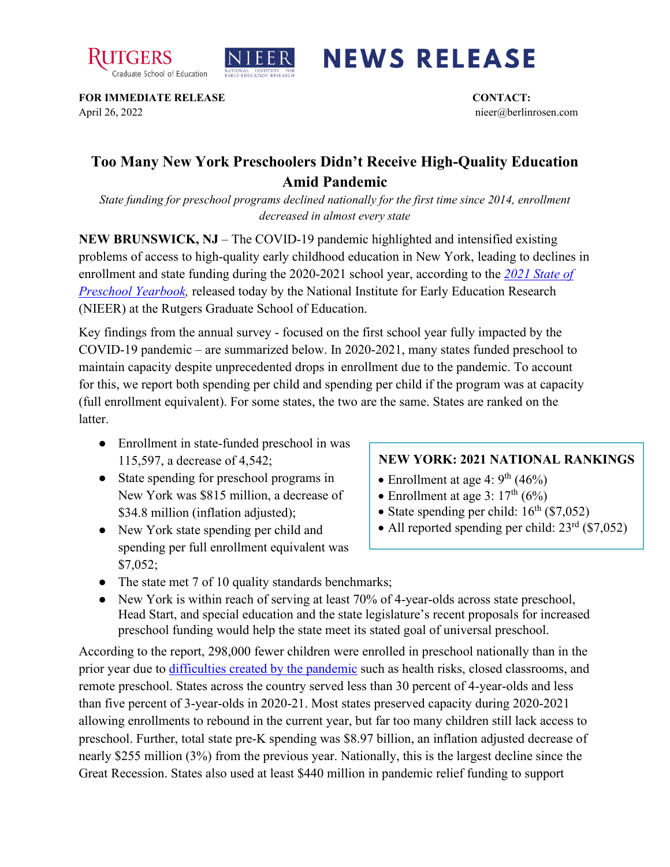



## **NEWS RELEASE**

**FOR IMMEDIATE RELEASE CONTACT:**  April 26, 2022 nieer@berlinrosen.com

## **Too Many New York Preschoolers Didn't Receive High-Quality Education Amid Pandemic**

*State funding for preschool programs declined nationally for the first time since 2014, enrollment decreased in almost every state*

**NEW BRUNSWICK, NJ** – The COVID-19 pandemic highlighted and intensified existing problems of access to high-quality early childhood education in New York, leading to declines in enrollment and state funding during the 2020-2021 school year, according to the *[2021 State of](https://nieer.org/state-preschool-yearbooks-yearbook2021)  [Preschool Yearbook,](https://nieer.org/state-preschool-yearbooks-yearbook2021)* released today by the National Institute for Early Education Research (NIEER) at the Rutgers Graduate School of Education.

Key findings from the annual survey - focused on the first school year fully impacted by the COVID-19 pandemic – are summarized below. In 2020-2021, many states funded preschool to maintain capacity despite unprecedented drops in enrollment due to the pandemic. To account for this, we report both spending per child and spending per child if the program was at capacity (full enrollment equivalent). For some states, the two are the same. States are ranked on the **latter** 

- Enrollment in state-funded preschool in was 115,597, a decrease of 4,542;
- State spending for preschool programs in New York was \$815 million, a decrease of \$34.8 million (inflation adjusted);
- New York state spending per child and spending per full enrollment equivalent was \$7,052;

## **NEW YORK: 2021 NATIONAL RANKINGS**

- Enrollment at age 4:  $9<sup>th</sup>$  (46%)
- Enrollment at age 3:  $17<sup>th</sup> (6%)$
- State spending per child:  $16<sup>th</sup>$  (\$7,052)
- All reported spending per child:  $23<sup>rd</sup>$  (\$7,052)
- The state met 7 of 10 quality standards benchmarks;
- New York is within reach of serving at least 70% of 4-year-olds across state preschool, Head Start, and special education and the state legislature's recent proposals for increased preschool funding would help the state meet its stated goal of universal preschool.

According to the report, 298,000 fewer children were enrolled in preschool nationally than in the prior year due to [difficulties created by the pandemic](https://nieer.org/wp-content/uploads/2021/02/NIEER_Seven_Impacts_of_the_Pandemic_on_Young_Children_and_their_Parents.pdf) such as health risks, closed classrooms, and remote preschool. States across the country served less than 30 percent of 4-year-olds and less than five percent of 3-year-olds in 2020-21. Most states preserved capacity during 2020-2021 allowing enrollments to rebound in the current year, but far too many children still lack access to preschool. Further, total state pre-K spending was \$8.97 billion, an inflation adjusted decrease of nearly \$255 million (3%) from the previous year. Nationally, this is the largest decline since the Great Recession. States also used at least \$440 million in pandemic relief funding to support